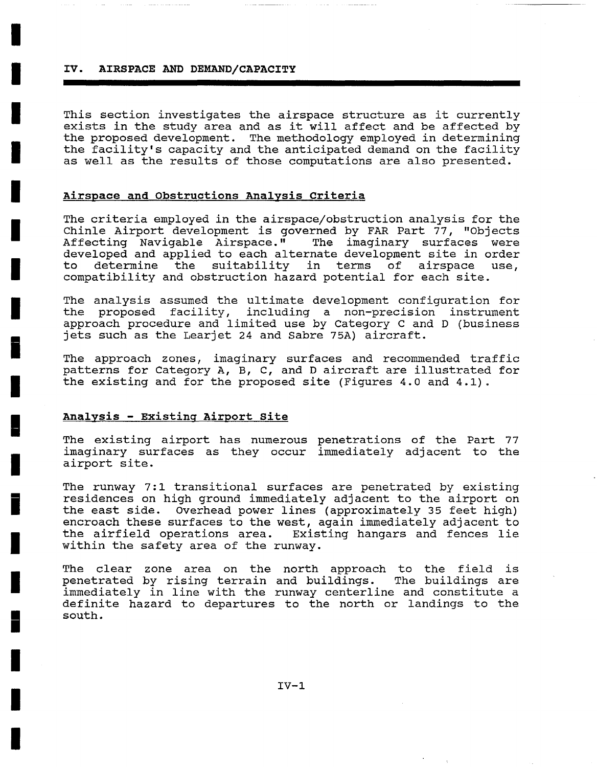#### **IV. AIRSPACE AND DEMAND/CAPACITY**

**I** 

**I** 

**I** 

**I** 

**I** 

**I** 

**I** 

**I** 

**i** 

**I** 

**!** 

**I** 

**i** 

**I** 

**I** 

**i** 

**I** 

**I** 

**I** 

This section investigates the airspace structure as it currently exists in the study area and as it will affect and be affected by the proposed development. The methodology employed in determining the facility's capacity and the anticipated demand on the facility as well as the results of those computations are also presented.

## **Airspace and Obstructions Analysis Criteria**

The criteria employed in the airspace/obstruction analysis for the Chinle Airport development is governed by FAR Part 77, "Objects<br>Affecting Navigable Airspace." The imaginary surfaces were The imaginary surfaces were developed and applied to each alternate development site in order to determine the suitability in terms of airspace use, compatibility and obstruction hazard potential for each site.

The analysis assumed the ultimate development configuration for the proposed facility, including a non-precision instrument approach procedure and limited use by Category C and D (business jets such as the Learjet 24 and Sabre 75A) aircraft.

The approach zones, imaginary surfaces and recommended traffic patterns for Category A, B, C, and D aircraft are illustrated for the existing and for the proposed site (Figures 4.0 and 4.1).

### **Analysis - Existing Airport Site**

The existing airport has numerous penetrations of the Part 77 imaginary surfaces as they occur immediately adjacent to the airport site.

The runway 7:1 transitional surfaces are penetrated by existing residences on high ground immediately adjacent to the airport on the east side. Overhead power lines (approximately 35 feet high) encroach these surfaces to the west, again immediately adjacent to the airfield operations area. Existing hangars and fences lie within the safety area of the runway.

The clear zone area on the north approach to the field is penetrated by rising terrain and buildings. The buildings are immediately in line with the runway centerline and constitute a definite hazard to departures to the north or landings to the south.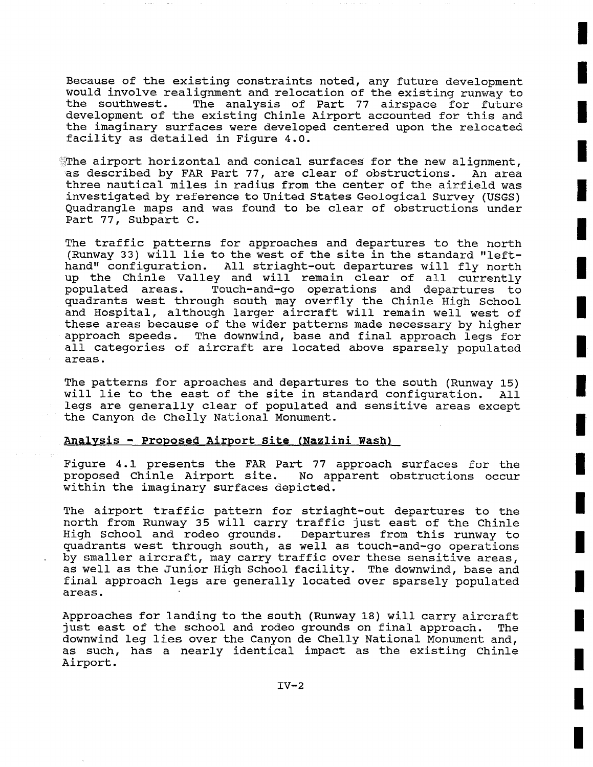Because of the existing constraints noted, any future development would involve realignment and relocation of the existing runway to the southwest. The analysis of Part 77 airspace for future development of the existing Chinle Airport accounted for this and the imaginary surfaces were developed centered upon the relocated facility as detailed in Figure 4.0.

 $^{\circ}\!\!$ The airport horizontal and conical surfaces for the new alignment, as described by FAR Part 77, are clear of obstructions. An area three nautical miles in radius from the center of the airfield was investigated by reference to United States Geological Survey (USGS) Quadrangle maps and was found to be clear of obstructions under Part 77, Subpart C.

The traffic patterns for approaches and departures to the north (Runway 33) will lie to the west of the site in the standard "lefthand" configuration. All striaght-out departures will fly north up the Chinle Valley and will remain clear of all currently populated areas. Touch-and-go operations and departures to quadrants west through south may overfly the Chinle High School and Hospital, although larger aircraft will remain well west of these areas because of the wider patterns made necessary by higher approach speeds. The downwind, base and final approach legs for all categories of aircraft are located above sparsely populated areas.

The patterns for aproaches and departures to the south (Runway 15) will lie to the east of the site in standard configuration. All legs are generally clear of populated and sensitive areas except the Canyon de Chelly National Monument.

### Analysis - Proposed **Airport Site (Nazlini Wash)**

Figure 4.1 presents the FAR Part 77 approach surfaces for the proposed Chinle Airport site. No apparent obstructions occur within the imaginary surfaces depicted.

The airport traffic pattern for striaght-out departures to the north from Runway 35 will carry traffic just east of the Chinle High School and rodeo grounds. Departures from this runway to quadrants west through south, as well as touch-and-go operations by smaller aircraft, may carry traffic over these sensitive areas, as well as the Junior High School facility. The downwind, base and final approach legs are generally located over sparsely populated areas.

Approaches for landing to the south (Runway 18) will carry aircraft just east of the school and rodeo grounds on final approach. The downwind leg lies over the Canyon de Chelly National Monument and, as such, has a nearly identical impact as the existing Chinle Airport.

**!**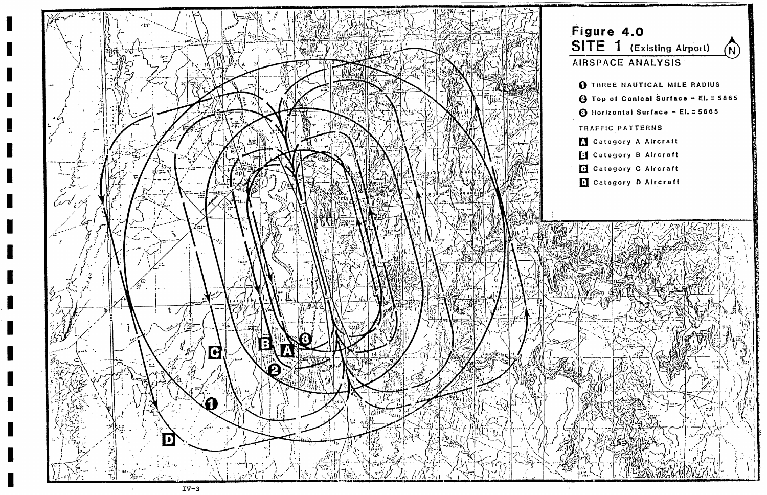

 $IV-3$ 

# Figure 4.0 SITE 1 (Existing Airport)  $(N)$ AIRSPACE ANALYSIS **O THREE NAUTICAL MILE RADIUS 4** Top of Conical Surface - El. = 5865 **6** Horizontal Surface - El. = 5665 TRAFFIC PATTERNS Category A Aircraft Category B Aircraft Category C Aircraft Category D Alrcraft

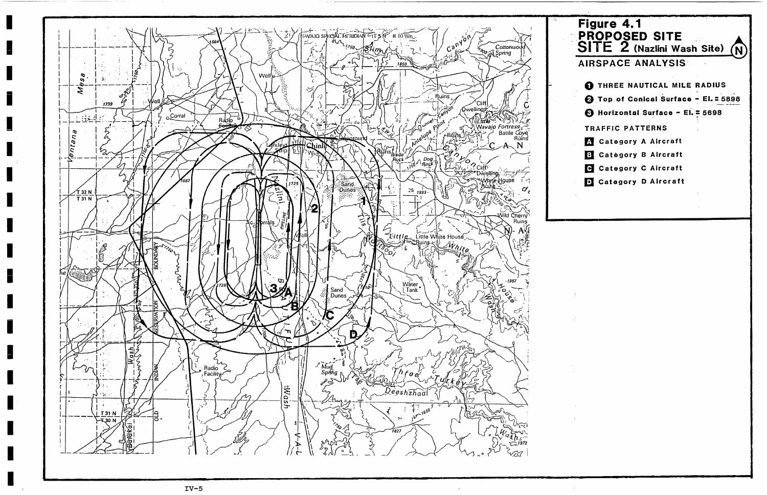

# Figure 4.1 PROPOSED SITE SITE  $2$  (Nazlini Wash Site)  $(N)$ AIRSPACE ANALYSIS **O** THREE NAUTICAL MILE RADIUS 4 Top of Conical Surface - El. = 5898 **6** Horizontal Surface - El. = 5698 TRAFFIC PATTERNS Category A Aircraft **El** Catégory B Aircraft **C** Category C Aircraft Category D Aircraft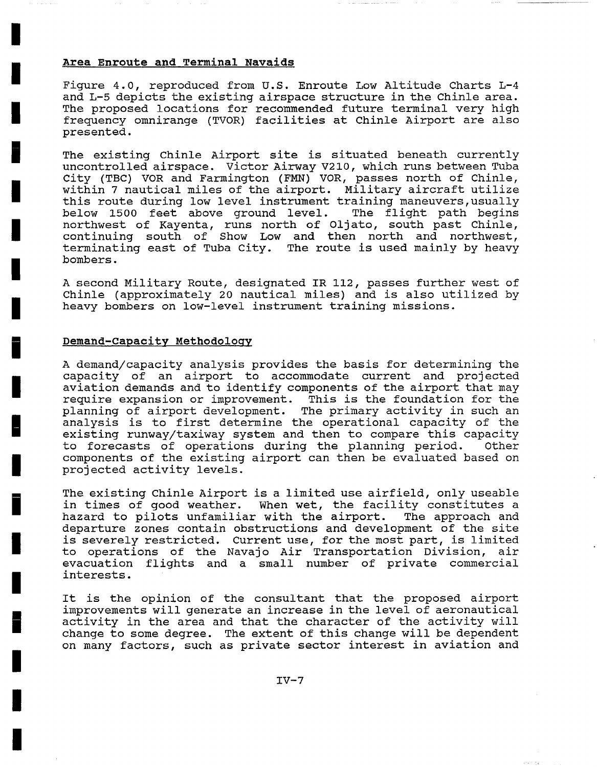## **Area Enroute and Terminal Navaids**

**I** 

**I** 

**I** 

**I** 

**I** 

**I** 

**I** 

**I** 

**i** 

**I** 

**l** 

**I** 

**i** 

**I** 

**I** 

**i** 

**I** 

**I** 

**I** 

Figure 4.0, reproduced from U.S. Enroute Low Altitude Charts L-4 and L-5 depicts the existing airspace structure in the Chinle area. The proposed locations for recommended future terminal very high frequency omnirange (TVOR) facilities at Chinle Airport are also presented.

The existing Chinle Airport site is situated beneath currently uncontrolled airspace. Victor Airway V210, which runs between Tuba City (TBC) VOR and Farmington (FMN) VOR, passes north of Chinle, within 7 nautical miles of the airport. Military aircraft utilize this route during low level instrument training maneuvers, usually below 1500 feet above ground level. The flight path begins northwest of Kayenta, runs north of Oljato, south past Chinle, continuing south of Show Low and then north and northwest, terminating east of Tuba City. The route is used mainly by heavy bombers.

A second Military Route, designated IR 112, passes further west of Chinle (approximately 20 nautical miles) and is also utilized by heavy bombers on low-level instrument training missions.

### **Demand-Capacity Methodology**

A demand/capacity analysis provides the basis for determining the capacity of an airport to accommodate current and projected aviation demands and to identify components of the airport that may require expansion or improvement. This is the foundation for the planning of airport development. The primary activity in such an analysis is to first determine the operational capacity of the existing runway/taxiway system and then to compare this capacity to forecasts of operations during the planning period. Other components of the existing airport can then be evaluated based on projected activity levels.

The existing chinle Airport is a limited use airfield, only useable in times of good weather. When wet, the facility constitutes a hazard to pilots unfamiliar with the airport. The approach and departure zones contain obstructions and development of the site is severely restricted. Current use, for the most part, is limited to operations of the Navajo Air Transportation Division, air evacuation flights and a small number of private commercial interests.

It is the opinion of the consultant that the proposed airport improvements will generate an increase in the level of aeronautical activity in the area and that the character of the activity will change to some degree. The extent of this change will be dependent on many factors, such as private sector interest in aviation and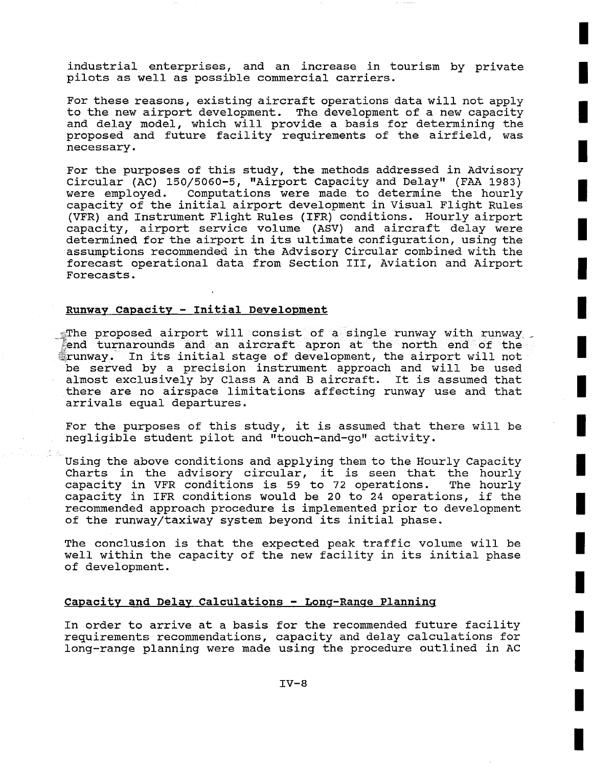industrial enterprises, and an increase in tourism by private pilots as well as possible commercial carriers.

For these reasons, existing aircraft operations data will not apply to the new airport development. The development of a new capacity and delay model, which will provide a basis for determining the proposed and future facility requirements of the airfield, was necessary.

For the purposes of this study, the methods addressed in Advisory Circular (AC) 150/5060-5, "Airport Capacity and Delay" (FAA 1983) were employed. Computations were made to determine the hourly capacity of the initial airport development in Visual Flight Rules (VFR) and Instrument Flight Rules (IFR) conditions. Hourly airport capacity, airport service volume (ASV) and aircraft delay were determined for the airport in its ultimate configuration, using the assumptions recommended in the Advisory Circular combined with the forecast operational data from Section III, Aviation and Airport Forecasts.

#### **Runway Capacity - Initial Development**

\*The proposed airport will consist of a single runway with runway end turnarounds and an aircraft apron at the north end of the ~runway, In its initial stage of development, the airport will not be served by a precision instrument approach and will be used almost exclusively by Class A and B aircraft. It is assumed that there are no airspace limitations affecting runway use and that arrivals equal departures.

For the purposes of this study, it is assumed that there will be negligible student pilot and "touch-and-go" activity.

Using the above conditions and applying them to the Hourly Capacity Charts in the advisory circular, it is seen that the hourly capacity in VFR conditions is 59 to 72 operations. The hourly capacity in IFR conditions would be 20 to 24 operations, if the recommended approach procedure is implemented prior to development of the runway/taxiway system beyond its initial phase.

The conclusion is that the expected peak traffic volume will be well within the capacity of the new facility in its initial phase of development.

## **Capacity and Delay Calculations** - Long-Ranqe **Planning**

In order to arrive at a basis for the recommended future facility requirements recommendations, capacity and delay calculations for long-range planning were made using the procedure outlined in AC

**!**